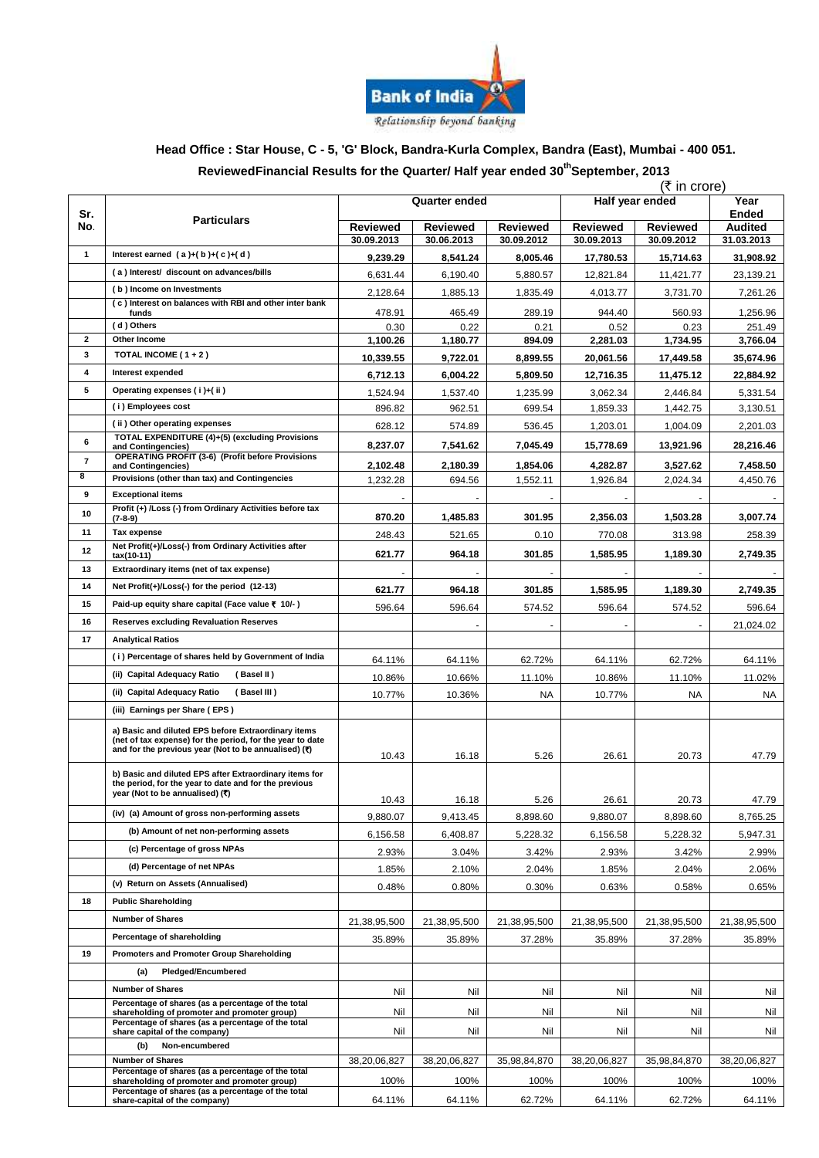

# **Head Office : Star House, C - 5, 'G' Block, Bandra-Kurla Complex, Bandra (East), Mumbai - 400 051.**

#### **ReviewedFinancial Results for the Quarter/ Half year ended 30 thSeptember, 2013**

|                         |                                                                                                                                                                          |                               |                        |                               | (₹ in crore)                     |                               |                              |  |
|-------------------------|--------------------------------------------------------------------------------------------------------------------------------------------------------------------------|-------------------------------|------------------------|-------------------------------|----------------------------------|-------------------------------|------------------------------|--|
| Sr.<br>No.              | <b>Particulars</b>                                                                                                                                                       | Quarter ended                 |                        |                               | Half year ended<br>Year<br>Ended |                               |                              |  |
|                         |                                                                                                                                                                          | <b>Reviewed</b><br>30.09.2013 | Reviewed<br>30.06.2013 | <b>Reviewed</b><br>30.09.2012 | <b>Reviewed</b><br>30.09.2013    | <b>Reviewed</b><br>30.09.2012 | <b>Audited</b><br>31.03.2013 |  |
| $\mathbf{1}$            | Interest earned $(a)+(b)+(c)+(d)$                                                                                                                                        | 9,239.29                      | 8,541.24               | 8,005.46                      | 17,780.53                        | 15,714.63                     | 31,908.92                    |  |
|                         | (a) Interest/ discount on advances/bills                                                                                                                                 | 6,631.44                      | 6,190.40               | 5,880.57                      | 12,821.84                        | 11,421.77                     | 23,139.21                    |  |
|                         | (b) Income on Investments                                                                                                                                                | 2,128.64                      | 1,885.13               | 1,835.49                      | 4,013.77                         | 3,731.70                      | 7,261.26                     |  |
|                         | (c) Interest on balances with RBI and other inter bank                                                                                                                   | 478.91                        | 465.49                 | 289.19                        | 944.40                           | 560.93                        | 1,256.96                     |  |
|                         | funds<br>(d) Others                                                                                                                                                      | 0.30                          | 0.22                   | 0.21                          | 0.52                             | 0.23                          | 251.49                       |  |
| $\mathbf{2}$            | Other Income                                                                                                                                                             | 1,100.26                      | 1,180.77               | 894.09                        | 2,281.03                         | 1,734.95                      | 3,766.04                     |  |
| 3                       | TOTAL INCOME ( $1 + 2$ )                                                                                                                                                 | 10,339.55                     | 9,722.01               | 8,899.55                      | 20,061.56                        | 17,449.58                     | 35,674.96                    |  |
| 4                       | Interest expended                                                                                                                                                        | 6,712.13                      | 6,004.22               | 5,809.50                      | 12,716.35                        | 11,475.12                     | 22,884.92                    |  |
| 5                       | Operating expenses (i)+(ii)                                                                                                                                              | 1,524.94                      | 1,537.40               | 1,235.99                      | 3,062.34                         | 2,446.84                      | 5,331.54                     |  |
|                         | (i) Employees cost                                                                                                                                                       | 896.82                        | 962.51                 | 699.54                        | 1,859.33                         | 1,442.75                      | 3,130.51                     |  |
|                         | (ii) Other operating expenses                                                                                                                                            | 628.12                        | 574.89                 | 536.45                        | 1,203.01                         | 1,004.09                      | 2,201.03                     |  |
| 6                       | TOTAL EXPENDITURE (4)+(5) (excluding Provisions<br>and Contingencies)                                                                                                    | 8,237.07                      | 7,541.62               | 7,045.49                      | 15,778.69                        | 13,921.96                     | 28,216.46                    |  |
| $\overline{\mathbf{r}}$ | <b>OPERATING PROFIT (3-6) (Profit before Provisions</b><br>and Contingencies)                                                                                            | 2,102.48                      | 2,180.39               | 1,854.06                      | 4.282.87                         | 3,527.62                      | 7,458.50                     |  |
| 8                       | Provisions (other than tax) and Contingencies                                                                                                                            | 1,232.28                      | 694.56                 | 1,552.11                      | 1,926.84                         | 2,024.34                      | 4,450.76                     |  |
| 9                       | <b>Exceptional items</b>                                                                                                                                                 |                               |                        |                               |                                  |                               |                              |  |
| 10                      | Profit (+) /Loss (-) from Ordinary Activities before tax<br>(7-8-9)                                                                                                      | 870.20                        | 1,485.83               | 301.95                        | 2,356.03                         | 1,503.28                      | 3,007.74                     |  |
| 11                      | Tax expense                                                                                                                                                              | 248.43                        | 521.65                 | 0.10                          | 770.08                           | 313.98                        | 258.39                       |  |
| 12                      | Net Profit(+)/Loss(-) from Ordinary Activities after<br>tax(10-11)                                                                                                       | 621.77                        | 964.18                 | 301.85                        | 1,585.95                         | 1,189.30                      | 2,749.35                     |  |
| 13                      | Extraordinary items (net of tax expense)                                                                                                                                 |                               |                        |                               |                                  |                               |                              |  |
| 14                      | Net Profit(+)/Loss(-) for the period (12-13)                                                                                                                             | 621.77                        | 964.18                 | 301.85                        | 1,585.95                         | 1,189.30                      | 2,749.35                     |  |
| 15                      | Paid-up equity share capital (Face value ₹ 10/-)                                                                                                                         | 596.64                        | 596.64                 | 574.52                        | 596.64                           | 574.52                        | 596.64                       |  |
| 16                      | <b>Reserves excluding Revaluation Reserves</b>                                                                                                                           |                               |                        |                               |                                  |                               | 21,024.02                    |  |
| 17                      | <b>Analytical Ratios</b>                                                                                                                                                 |                               |                        |                               |                                  |                               |                              |  |
|                         | (i) Percentage of shares held by Government of India                                                                                                                     | 64.11%                        | 64.11%                 | 62.72%                        | 64.11%                           | 62.72%                        | 64.11%                       |  |
|                         | (ii) Capital Adequacy Ratio<br>(Basel II)                                                                                                                                | 10.86%                        | 10.66%                 | 11.10%                        | 10.86%                           | 11.10%                        | 11.02%                       |  |
|                         | (ii) Capital Adequacy Ratio<br>(Basel III)                                                                                                                               | 10.77%                        | 10.36%                 | NA                            | 10.77%                           | NA                            | NA                           |  |
|                         | (iii) Earnings per Share (EPS)                                                                                                                                           |                               |                        |                               |                                  |                               |                              |  |
|                         | a) Basic and diluted EPS before Extraordinary items<br>(net of tax expense) for the period, for the year to date<br>and for the previous year (Not to be annualised) (₹) | 10.43                         | 16.18                  | 5.26                          | 26.61                            | 20.73                         | 47.79                        |  |
|                         | b) Basic and diluted EPS after Extraordinary items for<br>the period, for the year to date and for the previous<br>year (Not to be annualised) (₹)                       | 10.43                         | 16.18                  | 5.26                          | 26.61                            | 20.73                         | 47.79                        |  |
|                         | (iv) (a) Amount of gross non-performing assets                                                                                                                           | 9,880.07                      | 9,413.45               | 8,898.60                      | 9,880.07                         | 8,898.60                      | 8,765.25                     |  |
|                         | (b) Amount of net non-performing assets                                                                                                                                  | 6,156.58                      | 6,408.87               | 5,228.32                      | 6,156.58                         | 5,228.32                      | 5,947.31                     |  |
|                         | (c) Percentage of gross NPAs                                                                                                                                             | 2.93%                         | 3.04%                  | 3.42%                         | 2.93%                            | 3.42%                         | 2.99%                        |  |
|                         | (d) Percentage of net NPAs                                                                                                                                               | 1.85%                         | 2.10%                  | 2.04%                         | 1.85%                            | 2.04%                         | 2.06%                        |  |
|                         | (v) Return on Assets (Annualised)                                                                                                                                        | 0.48%                         | 0.80%                  | 0.30%                         | 0.63%                            | 0.58%                         | 0.65%                        |  |
| 18                      | <b>Public Shareholding</b>                                                                                                                                               |                               |                        |                               |                                  |                               |                              |  |
|                         | <b>Number of Shares</b>                                                                                                                                                  | 21,38,95,500                  | 21,38,95,500           | 21,38,95,500                  | 21,38,95,500                     | 21,38,95,500                  | 21,38,95,500                 |  |
|                         | Percentage of shareholding                                                                                                                                               | 35.89%                        | 35.89%                 | 37.28%                        | 35.89%                           | 37.28%                        | 35.89%                       |  |
| 19                      | Promoters and Promoter Group Shareholding                                                                                                                                |                               |                        |                               |                                  |                               |                              |  |
|                         | Pledged/Encumbered<br>(a)                                                                                                                                                |                               |                        |                               |                                  |                               |                              |  |
|                         | <b>Number of Shares</b>                                                                                                                                                  | Nil                           | Nil                    | Nil                           | Nil                              | Nil                           | Nil                          |  |
|                         | Percentage of shares (as a percentage of the total<br>shareholding of promoter and promoter group)                                                                       | Nil                           | Nil                    | Nil                           | Nil                              | Nil                           | Nil                          |  |
|                         | Percentage of shares (as a percentage of the total<br>share capital of the company)                                                                                      | Nil                           | Nil                    | Nil                           | Nil                              | Nil                           | Nil                          |  |
|                         | Non-encumbered<br>(b)                                                                                                                                                    |                               |                        |                               |                                  |                               |                              |  |
|                         | <b>Number of Shares</b>                                                                                                                                                  | 38,20,06,827                  | 38,20,06,827           | 35,98,84,870                  | 38,20,06,827                     | 35,98,84,870                  | 38,20,06,827                 |  |
|                         | Percentage of shares (as a percentage of the total<br>shareholding of promoter and promoter group)                                                                       | 100%                          | 100%                   | 100%                          | 100%                             | 100%                          | 100%                         |  |
|                         | Percentage of shares (as a percentage of the total<br>share-capital of the company)                                                                                      | 64.11%                        | 64.11%                 | 62.72%                        | 64.11%                           | 62.72%                        | 64.11%                       |  |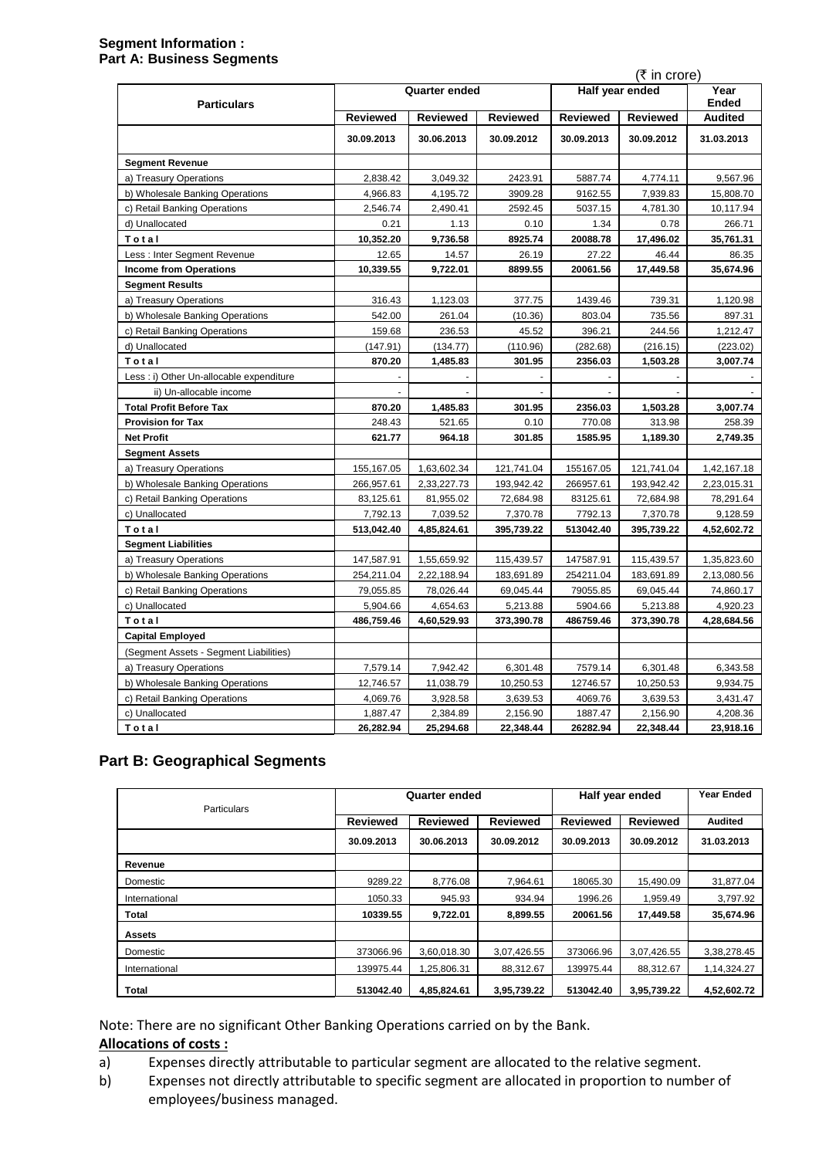#### **Segment Information : Part A: Business Segments**

|                                          |                 |                      |                 |                 | (₹ in crore)    |                |  |  |
|------------------------------------------|-----------------|----------------------|-----------------|-----------------|-----------------|----------------|--|--|
| <b>Particulars</b>                       |                 | <b>Quarter ended</b> |                 |                 | Half year ended |                |  |  |
|                                          | <b>Reviewed</b> | <b>Reviewed</b>      | <b>Reviewed</b> | <b>Reviewed</b> | <b>Reviewed</b> | <b>Audited</b> |  |  |
|                                          | 30.09.2013      | 30.06.2013           | 30.09.2012      | 30.09.2013      | 30.09.2012      | 31.03.2013     |  |  |
| <b>Segment Revenue</b>                   |                 |                      |                 |                 |                 |                |  |  |
| a) Treasury Operations                   | 2,838.42        | 3,049.32             | 2423.91         | 5887.74         | 4.774.11        | 9,567.96       |  |  |
| b) Wholesale Banking Operations          | 4,966.83        | 4,195.72             | 3909.28         | 9162.55         | 7,939.83        | 15,808.70      |  |  |
| c) Retail Banking Operations             | 2,546.74        | 2,490.41             | 2592.45         | 5037.15         | 4,781.30        | 10,117.94      |  |  |
| d) Unallocated                           | 0.21            | 1.13                 | 0.10            | 1.34            | 0.78            | 266.71         |  |  |
| Total                                    | 10,352.20       | 9,736.58             | 8925.74         | 20088.78        | 17,496.02       | 35,761.31      |  |  |
| Less: Inter Segment Revenue              | 12.65           | 14.57                | 26.19           | 27.22           | 46.44           | 86.35          |  |  |
| <b>Income from Operations</b>            | 10,339.55       | 9,722.01             | 8899.55         | 20061.56        | 17,449.58       | 35,674.96      |  |  |
| <b>Segment Results</b>                   |                 |                      |                 |                 |                 |                |  |  |
| a) Treasury Operations                   | 316.43          | 1,123.03             | 377.75          | 1439.46         | 739.31          | 1,120.98       |  |  |
| b) Wholesale Banking Operations          | 542.00          | 261.04               | (10.36)         | 803.04          | 735.56          | 897.31         |  |  |
| c) Retail Banking Operations             | 159.68          | 236.53               | 45.52           | 396.21          | 244.56          | 1,212.47       |  |  |
| d) Unallocated                           | (147.91)        | (134.77)             | (110.96)        | (282.68)        | (216.15)        | (223.02)       |  |  |
| Total                                    | 870.20          | 1,485.83             | 301.95          | 2356.03         | 1,503.28        | 3,007.74       |  |  |
| Less : i) Other Un-allocable expenditure |                 |                      |                 |                 |                 |                |  |  |
| ii) Un-allocable income                  | ÷               |                      | $\overline{a}$  | $\overline{a}$  | L.              |                |  |  |
| <b>Total Profit Before Tax</b>           | 870.20          | 1,485.83             | 301.95          | 2356.03         | 1,503.28        | 3,007.74       |  |  |
| <b>Provision for Tax</b>                 | 248.43          | 521.65               | 0.10            | 770.08          | 313.98          | 258.39         |  |  |
| <b>Net Profit</b>                        | 621.77          | 964.18               | 301.85          | 1585.95         | 1,189.30        | 2,749.35       |  |  |
| <b>Segment Assets</b>                    |                 |                      |                 |                 |                 |                |  |  |
| a) Treasury Operations                   | 155,167.05      | 1,63,602.34          | 121,741.04      | 155167.05       | 121,741.04      | 1,42,167.18    |  |  |
| b) Wholesale Banking Operations          | 266, 957.61     | 2,33,227.73          | 193,942.42      | 266957.61       | 193,942.42      | 2,23,015.31    |  |  |
| c) Retail Banking Operations             | 83,125.61       | 81,955.02            | 72,684.98       | 83125.61        | 72,684.98       | 78,291.64      |  |  |
| c) Unallocated                           | 7,792.13        | 7,039.52             | 7,370.78        | 7792.13         | 7,370.78        | 9,128.59       |  |  |
| Total                                    | 513,042.40      | 4,85,824.61          | 395,739.22      | 513042.40       | 395,739.22      | 4,52,602.72    |  |  |
| <b>Segment Liabilities</b>               |                 |                      |                 |                 |                 |                |  |  |
| a) Treasury Operations                   | 147,587.91      | 1,55,659.92          | 115,439.57      | 147587.91       | 115,439.57      | 1,35,823.60    |  |  |
| b) Wholesale Banking Operations          | 254,211.04      | 2,22,188.94          | 183,691.89      | 254211.04       | 183,691.89      | 2,13,080.56    |  |  |
| c) Retail Banking Operations             | 79,055.85       | 78,026.44            | 69,045.44       | 79055.85        | 69,045.44       | 74,860.17      |  |  |
| c) Unallocated                           | 5,904.66        | 4,654.63             | 5,213.88        | 5904.66         | 5,213.88        | 4,920.23       |  |  |
| Total                                    | 486,759.46      | 4,60,529.93          | 373,390.78      | 486759.46       | 373,390.78      | 4,28,684.56    |  |  |
| <b>Capital Employed</b>                  |                 |                      |                 |                 |                 |                |  |  |
| (Segment Assets - Segment Liabilities)   |                 |                      |                 |                 |                 |                |  |  |
| a) Treasury Operations                   | 7,579.14        | 7,942.42             | 6,301.48        | 7579.14         | 6,301.48        | 6,343.58       |  |  |
| b) Wholesale Banking Operations          | 12,746.57       | 11,038.79            | 10,250.53       | 12746.57        | 10,250.53       | 9,934.75       |  |  |
| c) Retail Banking Operations             | 4,069.76        | 3,928.58             | 3,639.53        | 4069.76         | 3,639.53        | 3,431.47       |  |  |
| c) Unallocated                           | 1,887.47        | 2,384.89             | 2,156.90        | 1887.47         | 2,156.90        | 4,208.36       |  |  |
| Total                                    | 26,282.94       | 25,294.68            | 22,348.44       | 26282.94        | 22,348.44       | 23,918.16      |  |  |

# **Part B: Geographical Segments**

| <b>Particulars</b> | <b>Quarter ended</b> |                 |                 | Half year ended |                 | <b>Year Ended</b> |
|--------------------|----------------------|-----------------|-----------------|-----------------|-----------------|-------------------|
|                    | <b>Reviewed</b>      | <b>Reviewed</b> | <b>Reviewed</b> | <b>Reviewed</b> | <b>Reviewed</b> | <b>Audited</b>    |
|                    | 30.09.2013           | 30.06.2013      | 30.09.2012      | 30.09.2013      | 30.09.2012      | 31.03.2013        |
| Revenue            |                      |                 |                 |                 |                 |                   |
| Domestic           | 9289.22              | 8,776.08        | 7,964.61        | 18065.30        | 15,490.09       | 31,877.04         |
| International      | 1050.33              | 945.93          | 934.94          | 1996.26         | 1,959.49        | 3,797.92          |
| <b>Total</b>       | 10339.55             | 9,722.01        | 8,899.55        | 20061.56        | 17,449.58       | 35,674.96         |
| <b>Assets</b>      |                      |                 |                 |                 |                 |                   |
| Domestic           | 373066.96            | 3,60,018.30     | 3,07,426.55     | 373066.96       | 3,07,426.55     | 3,38,278.45       |
| International      | 139975.44            | 1,25,806.31     | 88,312.67       | 139975.44       | 88,312.67       | 1,14,324.27       |
| <b>Total</b>       | 513042.40            | 4,85,824.61     | 3,95,739.22     | 513042.40       | 3,95,739.22     | 4,52,602.72       |

Note: There are no significant Other Banking Operations carried on by the Bank.

### **Allocations of costs :**

- a) Expenses directly attributable to particular segment are allocated to the relative segment.
- b) Expenses not directly attributable to specific segment are allocated in proportion to number of employees/business managed.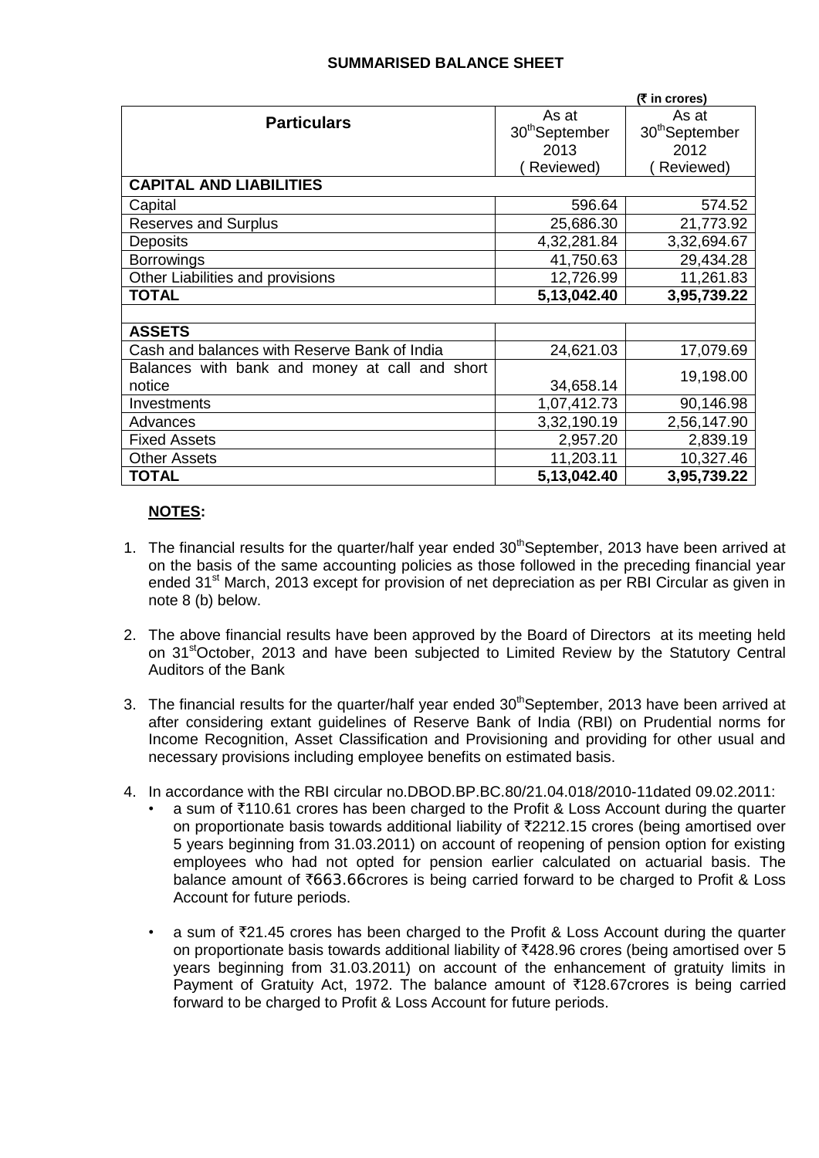# **SUMMARISED BALANCE SHEET**

|                                                | (₹ in crores)              |                            |  |  |
|------------------------------------------------|----------------------------|----------------------------|--|--|
| <b>Particulars</b>                             | As at                      | As at                      |  |  |
|                                                | 30 <sup>th</sup> September | 30 <sup>th</sup> September |  |  |
|                                                | 2013                       | 2012                       |  |  |
|                                                | Reviewed)                  | Reviewed)                  |  |  |
| <b>CAPITAL AND LIABILITIES</b>                 |                            |                            |  |  |
| Capital                                        | 596.64                     | 574.52                     |  |  |
| <b>Reserves and Surplus</b>                    | 25,686.30                  | 21,773.92                  |  |  |
| <b>Deposits</b>                                | 4,32,281.84                | 3,32,694.67                |  |  |
| <b>Borrowings</b>                              | 41,750.63                  | 29,434.28                  |  |  |
| Other Liabilities and provisions               | 12,726.99                  | 11,261.83                  |  |  |
| <b>TOTAL</b>                                   | 5,13,042.40                | 3,95,739.22                |  |  |
|                                                |                            |                            |  |  |
| <b>ASSETS</b>                                  |                            |                            |  |  |
| Cash and balances with Reserve Bank of India   | 24,621.03                  | 17,079.69                  |  |  |
| Balances with bank and money at call and short |                            | 19,198.00                  |  |  |
| notice                                         | 34,658.14                  |                            |  |  |
| Investments                                    | 1,07,412.73                | 90,146.98                  |  |  |
| Advances                                       | 3,32,190.19                | 2,56,147.90                |  |  |
| <b>Fixed Assets</b>                            | 2,957.20                   | 2,839.19                   |  |  |
| <b>Other Assets</b>                            | 11,203.11                  | 10,327.46                  |  |  |
| <b>TOTAL</b>                                   | 5,13,042.40                | 3,95,739.22                |  |  |

## **NOTES:**

- 1. The financial results for the quarter/half year ended  $30<sup>th</sup>$ September, 2013 have been arrived at on the basis of the same accounting policies as those followed in the preceding financial year ended 31<sup>st</sup> March, 2013 except for provision of net depreciation as per RBI Circular as given in note 8 (b) below.
- 2. The above financial results have been approved by the Board of Directors at its meeting held on 31<sup>st</sup>October, 2013 and have been subjected to Limited Review by the Statutory Central Auditors of the Bank
- 3. The financial results for the quarter/half year ended  $30<sup>th</sup>$ September, 2013 have been arrived at after considering extant guidelines of Reserve Bank of India (RBI) on Prudential norms for Income Recognition, Asset Classification and Provisioning and providing for other usual and necessary provisions including employee benefits on estimated basis.
- 4. In accordance with the RBI circular no.DBOD.BP.BC.80/21.04.018/2010-11dated 09.02.2011:
	- a sum of  $\bar{\tau}$ 110.61 crores has been charged to the Profit & Loss Account during the quarter on proportionate basis towards additional liability of  $\overline{2}2212.15$  crores (being amortised over 5 years beginning from 31.03.2011) on account of reopening of pension option for existing employees who had not opted for pension earlier calculated on actuarial basis. The balance amount of  $\overline{663.66}$ crores is being carried forward to be charged to Profit & Loss Account for future periods.
	- a sum of  $\overline{z}21.45$  crores has been charged to the Profit & Loss Account during the quarter on proportionate basis towards additional liability of  $\overline{*}428.96$  crores (being amortised over 5 years beginning from 31.03.2011) on account of the enhancement of gratuity limits in Payment of Gratuity Act, 1972. The balance amount of  $\overline{5}128.67$ crores is being carried forward to be charged to Profit & Loss Account for future periods.